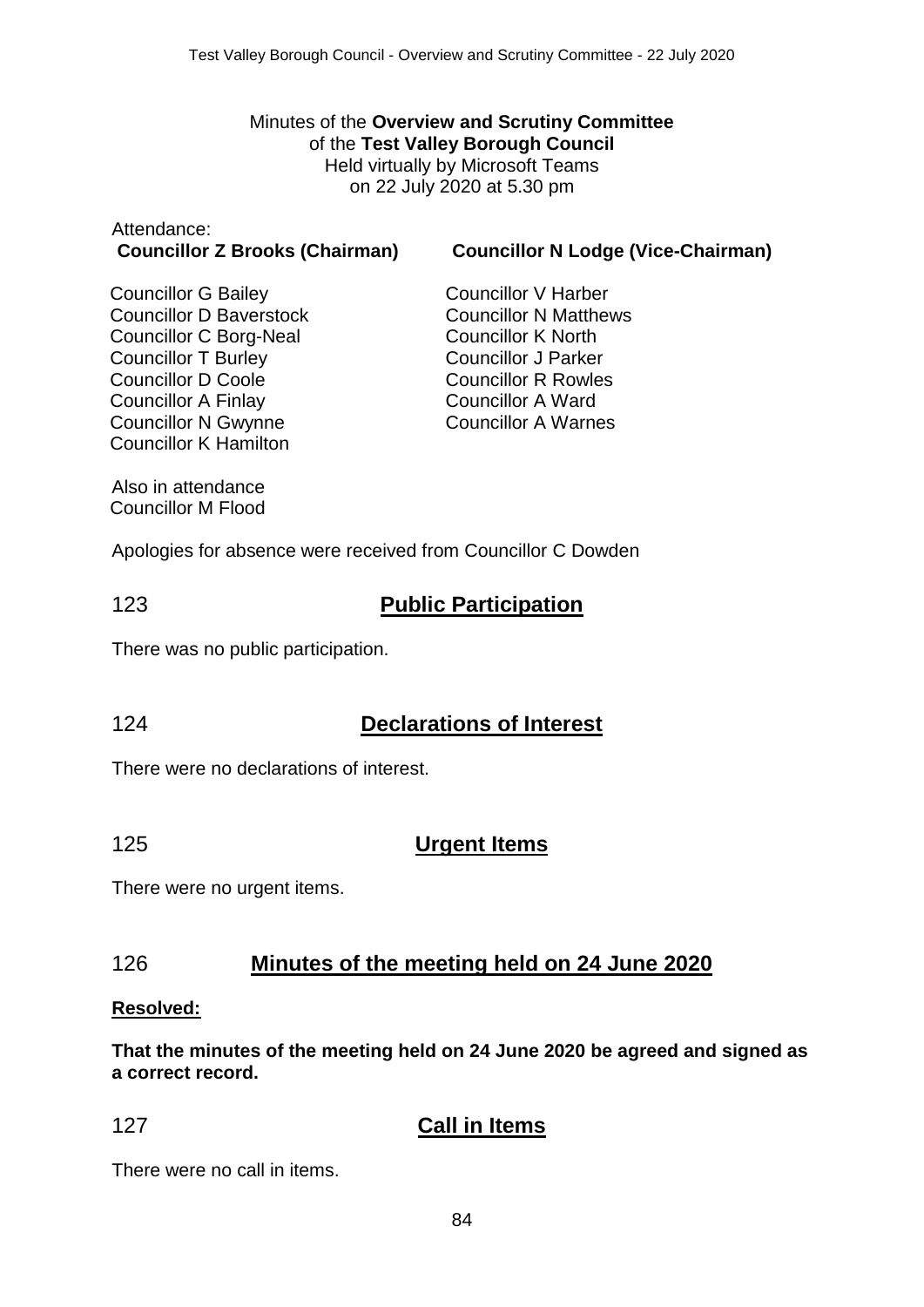Minutes of the **Overview and Scrutiny Committee** of the **Test Valley Borough Council** Held virtually by Microsoft Teams on 22 July 2020 at 5.30 pm

# Attendance:

**Councillor Z Brooks (Chairman) Councillor N Lodge (Vice-Chairman)**

Councillor G Bailey Councillor D Baverstock Councillor C Borg-Neal Councillor T Burley Councillor D Coole Councillor A Finlay Councillor N Gwynne Councillor K Hamilton

Councillor V Harber Councillor N Matthews Councillor K North Councillor J Parker Councillor R Rowles Councillor A Ward Councillor A Warnes

Also in attendance Councillor M Flood

Apologies for absence were received from Councillor C Dowden

# 123 **Public Participation**

There was no public participation.

# 124 **Declarations of Interest**

There were no declarations of interest.

#### 125 **Urgent Items**

There were no urgent items.

## 126 **Minutes of the meeting held on 24 June 2020**

#### **Resolved:**

**That the minutes of the meeting held on 24 June 2020 be agreed and signed as a correct record.**

# 127 **Call in Items**

There were no call in items.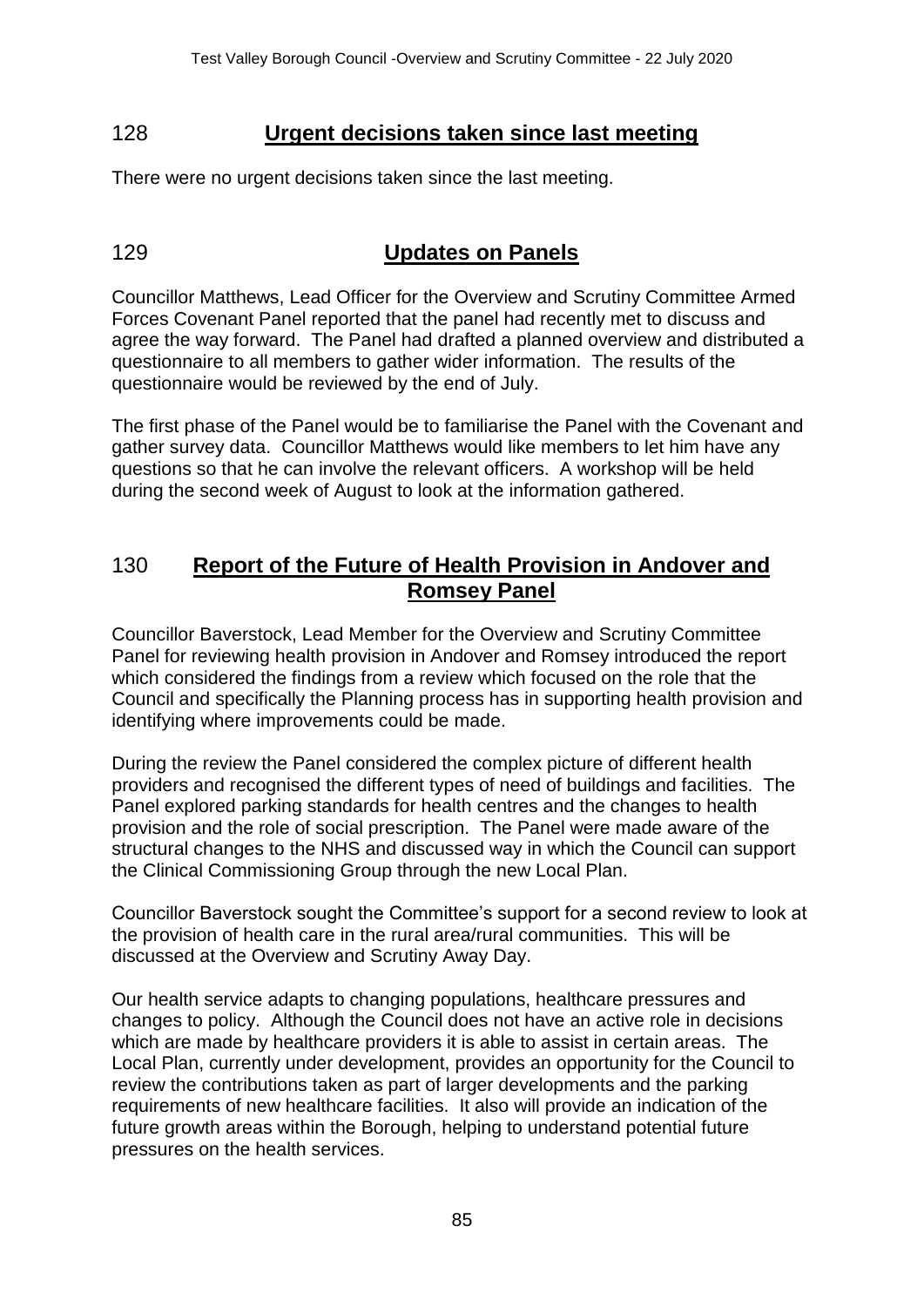#### 128 **Urgent decisions taken since last meeting**

There were no urgent decisions taken since the last meeting.

# 129 **Updates on Panels**

Councillor Matthews, Lead Officer for the Overview and Scrutiny Committee Armed Forces Covenant Panel reported that the panel had recently met to discuss and agree the way forward. The Panel had drafted a planned overview and distributed a questionnaire to all members to gather wider information. The results of the questionnaire would be reviewed by the end of July.

The first phase of the Panel would be to familiarise the Panel with the Covenant and gather survey data. Councillor Matthews would like members to let him have any questions so that he can involve the relevant officers. A workshop will be held during the second week of August to look at the information gathered.

#### 130 **Report of the Future of Health Provision in Andover and Romsey Panel**

Councillor Baverstock, Lead Member for the Overview and Scrutiny Committee Panel for reviewing health provision in Andover and Romsey introduced the report which considered the findings from a review which focused on the role that the Council and specifically the Planning process has in supporting health provision and identifying where improvements could be made.

During the review the Panel considered the complex picture of different health providers and recognised the different types of need of buildings and facilities. The Panel explored parking standards for health centres and the changes to health provision and the role of social prescription. The Panel were made aware of the structural changes to the NHS and discussed way in which the Council can support the Clinical Commissioning Group through the new Local Plan.

Councillor Baverstock sought the Committee's support for a second review to look at the provision of health care in the rural area/rural communities. This will be discussed at the Overview and Scrutiny Away Day.

Our health service adapts to changing populations, healthcare pressures and changes to policy. Although the Council does not have an active role in decisions which are made by healthcare providers it is able to assist in certain areas. The Local Plan, currently under development, provides an opportunity for the Council to review the contributions taken as part of larger developments and the parking requirements of new healthcare facilities. It also will provide an indication of the future growth areas within the Borough, helping to understand potential future pressures on the health services.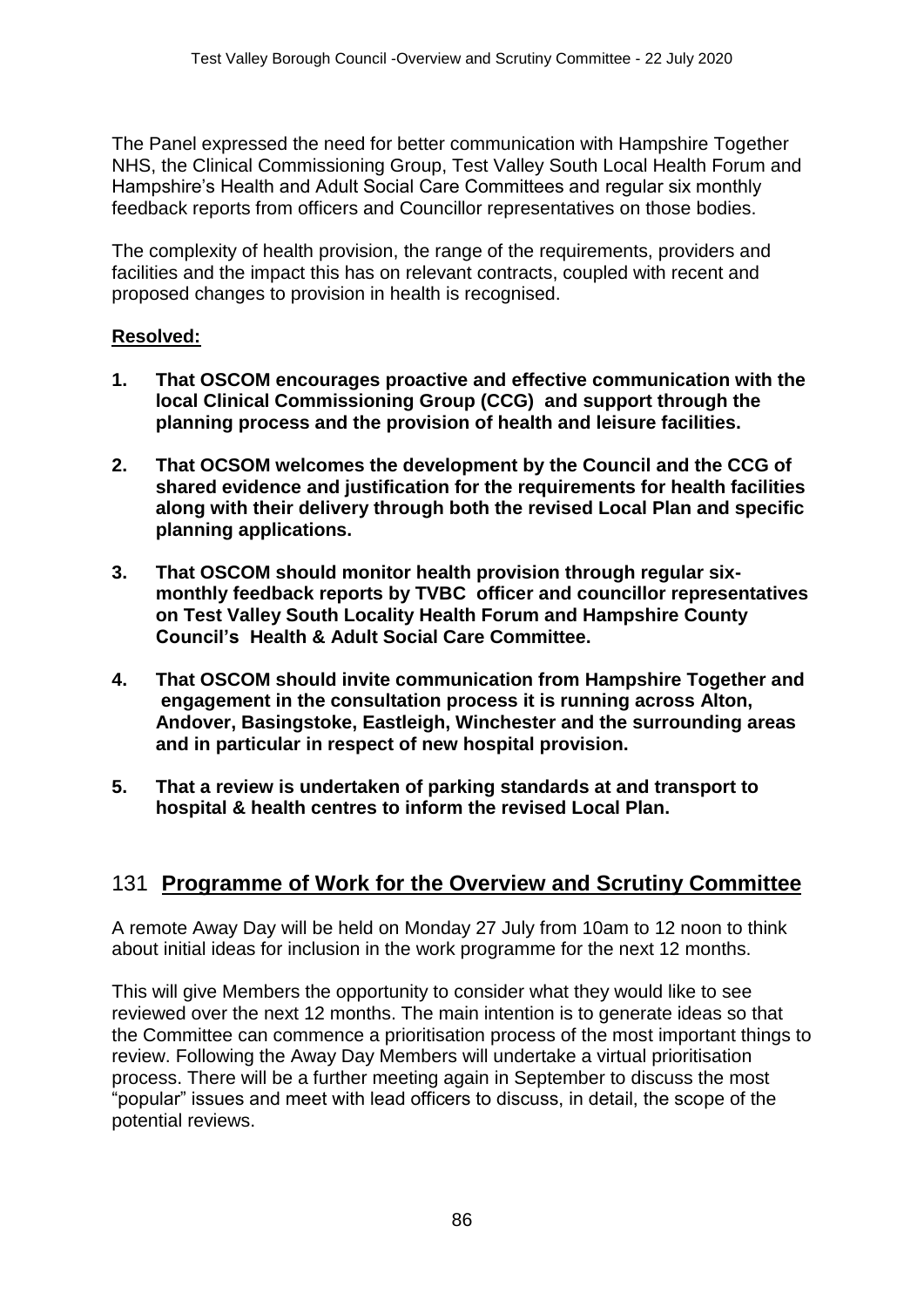The Panel expressed the need for better communication with Hampshire Together NHS, the Clinical Commissioning Group, Test Valley South Local Health Forum and Hampshire's Health and Adult Social Care Committees and regular six monthly feedback reports from officers and Councillor representatives on those bodies.

The complexity of health provision, the range of the requirements, providers and facilities and the impact this has on relevant contracts, coupled with recent and proposed changes to provision in health is recognised.

#### **Resolved:**

- **1. That OSCOM encourages proactive and effective communication with the local Clinical Commissioning Group (CCG) and support through the planning process and the provision of health and leisure facilities.**
- **2. That OCSOM welcomes the development by the Council and the CCG of shared evidence and justification for the requirements for health facilities along with their delivery through both the revised Local Plan and specific planning applications.**
- **3. That OSCOM should monitor health provision through regular sixmonthly feedback reports by TVBC officer and councillor representatives on Test Valley South Locality Health Forum and Hampshire County Council's Health & Adult Social Care Committee.**
- **4. That OSCOM should invite communication from Hampshire Together and engagement in the consultation process it is running across Alton, Andover, Basingstoke, Eastleigh, Winchester and the surrounding areas and in particular in respect of new hospital provision.**
- **5. That a review is undertaken of parking standards at and transport to hospital & health centres to inform the revised Local Plan.**

## 131 **Programme of Work for the Overview and Scrutiny Committee**

A remote Away Day will be held on Monday 27 July from 10am to 12 noon to think about initial ideas for inclusion in the work programme for the next 12 months.

This will give Members the opportunity to consider what they would like to see reviewed over the next 12 months. The main intention is to generate ideas so that the Committee can commence a prioritisation process of the most important things to review. Following the Away Day Members will undertake a virtual prioritisation process. There will be a further meeting again in September to discuss the most "popular" issues and meet with lead officers to discuss, in detail, the scope of the potential reviews.